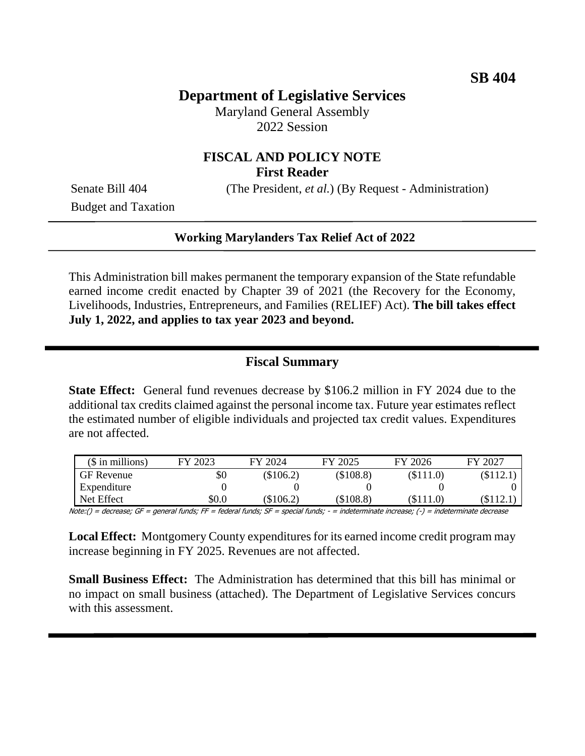## **Department of Legislative Services**

Maryland General Assembly 2022 Session

#### **FISCAL AND POLICY NOTE First Reader**

Senate Bill 404 (The President, *et al.*) (By Request - Administration)

Budget and Taxation

#### **Working Marylanders Tax Relief Act of 2022**

This Administration bill makes permanent the temporary expansion of the State refundable earned income credit enacted by Chapter 39 of 2021 (the Recovery for the Economy, Livelihoods, Industries, Entrepreneurs, and Families (RELIEF) Act). **The bill takes effect July 1, 2022, and applies to tax year 2023 and beyond.**

### **Fiscal Summary**

**State Effect:** General fund revenues decrease by \$106.2 million in FY 2024 due to the additional tax credits claimed against the personal income tax. Future year estimates reflect the estimated number of eligible individuals and projected tax credit values. Expenditures are not affected.

| $($$ in millions) | FY 2023 | FY 2024     | FY 2025   | FY 2026     | FY 2027 |
|-------------------|---------|-------------|-----------|-------------|---------|
| <b>GF</b> Revenue | \$0     | $(\$106.2)$ | (\$108.8) | $(\$111.0)$ | \$112.1 |
| Expenditure       |         |             |           |             |         |
| Net Effect        | \$0.0   | $\$106.2)$  | (\$108.8) | \$111.0     | S112.1  |

Note:() = decrease; GF = general funds; FF = federal funds; SF = special funds; - = indeterminate increase; (-) = indeterminate decrease

**Local Effect:** Montgomery County expenditures for its earned income credit program may increase beginning in FY 2025. Revenues are not affected.

**Small Business Effect:** The Administration has determined that this bill has minimal or no impact on small business (attached). The Department of Legislative Services concurs with this assessment.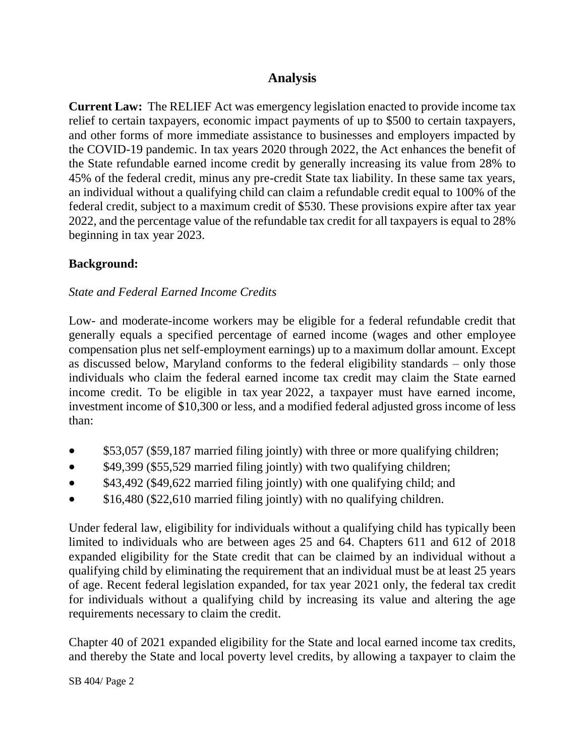## **Analysis**

**Current Law:** The RELIEF Act was emergency legislation enacted to provide income tax relief to certain taxpayers, economic impact payments of up to \$500 to certain taxpayers, and other forms of more immediate assistance to businesses and employers impacted by the COVID-19 pandemic. In tax years 2020 through 2022, the Act enhances the benefit of the State refundable earned income credit by generally increasing its value from 28% to 45% of the federal credit, minus any pre-credit State tax liability. In these same tax years, an individual without a qualifying child can claim a refundable credit equal to 100% of the federal credit, subject to a maximum credit of \$530. These provisions expire after tax year 2022, and the percentage value of the refundable tax credit for all taxpayers is equal to 28% beginning in tax year 2023.

### **Background:**

#### *State and Federal Earned Income Credits*

Low- and moderate-income workers may be eligible for a federal refundable credit that generally equals a specified percentage of earned income (wages and other employee compensation plus net self-employment earnings) up to a maximum dollar amount. Except as discussed below, Maryland conforms to the federal eligibility standards – only those individuals who claim the federal earned income tax credit may claim the State earned income credit. To be eligible in tax year 2022, a taxpayer must have earned income, investment income of \$10,300 or less, and a modified federal adjusted gross income of less than:

- \$53,057 (\$59,187 married filing jointly) with three or more qualifying children;
- \$49,399 (\$55,529 married filing jointly) with two qualifying children;
- \$43,492 (\$49,622 married filing jointly) with one qualifying child; and
- $\bullet$  \$16,480 (\$22,610 married filing jointly) with no qualifying children.

Under federal law, eligibility for individuals without a qualifying child has typically been limited to individuals who are between ages 25 and 64. Chapters 611 and 612 of 2018 expanded eligibility for the State credit that can be claimed by an individual without a qualifying child by eliminating the requirement that an individual must be at least 25 years of age. Recent federal legislation expanded, for tax year 2021 only, the federal tax credit for individuals without a qualifying child by increasing its value and altering the age requirements necessary to claim the credit.

Chapter 40 of 2021 expanded eligibility for the State and local earned income tax credits, and thereby the State and local poverty level credits, by allowing a taxpayer to claim the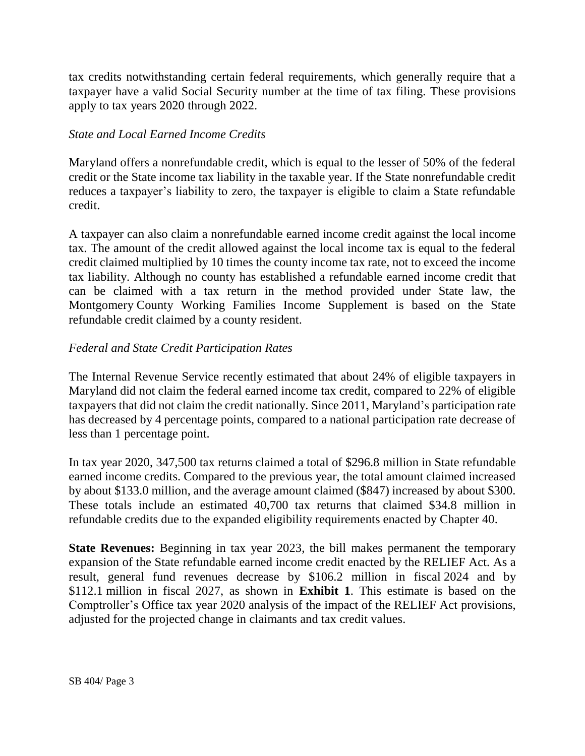tax credits notwithstanding certain federal requirements, which generally require that a taxpayer have a valid Social Security number at the time of tax filing. These provisions apply to tax years 2020 through 2022.

#### *State and Local Earned Income Credits*

Maryland offers a nonrefundable credit, which is equal to the lesser of 50% of the federal credit or the State income tax liability in the taxable year. If the State nonrefundable credit reduces a taxpayer's liability to zero, the taxpayer is eligible to claim a State refundable credit.

A taxpayer can also claim a nonrefundable earned income credit against the local income tax. The amount of the credit allowed against the local income tax is equal to the federal credit claimed multiplied by 10 times the county income tax rate, not to exceed the income tax liability. Although no county has established a refundable earned income credit that can be claimed with a tax return in the method provided under State law, the Montgomery County Working Families Income Supplement is based on the State refundable credit claimed by a county resident.

#### *Federal and State Credit Participation Rates*

The Internal Revenue Service recently estimated that about 24% of eligible taxpayers in Maryland did not claim the federal earned income tax credit, compared to 22% of eligible taxpayers that did not claim the credit nationally. Since 2011, Maryland's participation rate has decreased by 4 percentage points, compared to a national participation rate decrease of less than 1 percentage point.

In tax year 2020, 347,500 tax returns claimed a total of \$296.8 million in State refundable earned income credits. Compared to the previous year, the total amount claimed increased by about \$133.0 million, and the average amount claimed (\$847) increased by about \$300. These totals include an estimated 40,700 tax returns that claimed \$34.8 million in refundable credits due to the expanded eligibility requirements enacted by Chapter 40.

**State Revenues:** Beginning in tax year 2023, the bill makes permanent the temporary expansion of the State refundable earned income credit enacted by the RELIEF Act. As a result, general fund revenues decrease by \$106.2 million in fiscal 2024 and by \$112.1 million in fiscal 2027, as shown in **Exhibit 1**. This estimate is based on the Comptroller's Office tax year 2020 analysis of the impact of the RELIEF Act provisions, adjusted for the projected change in claimants and tax credit values.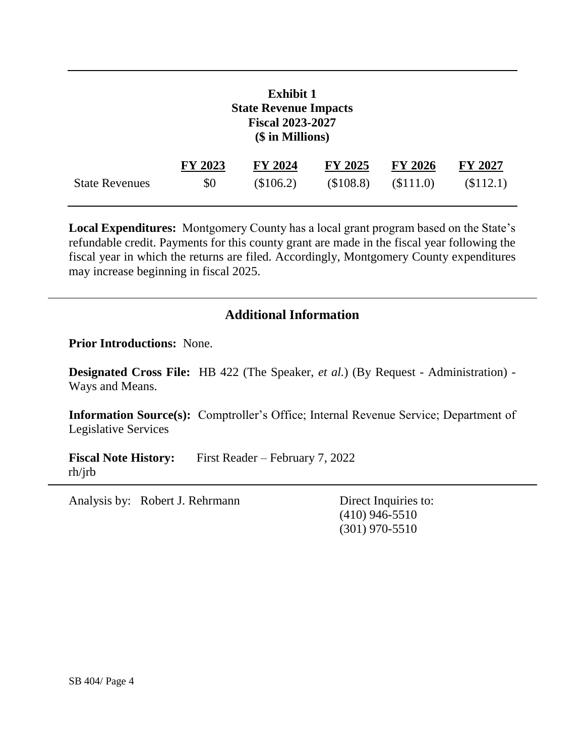|                       | <b>Exhibit 1</b><br><b>State Revenue Impacts</b><br><b>Fiscal 2023-2027</b><br>(\$ in Millions) |             |                |                |                |  |  |  |
|-----------------------|-------------------------------------------------------------------------------------------------|-------------|----------------|----------------|----------------|--|--|--|
|                       | FY 2023                                                                                         | FY 2024     | <b>FY 2025</b> | <b>FY 2026</b> | <b>FY 2027</b> |  |  |  |
| <b>State Revenues</b> | \$0                                                                                             | $(\$106.2)$ | (\$108.8)      | (\$111.0)      | (\$112.1)      |  |  |  |

**Local Expenditures:** Montgomery County has a local grant program based on the State's refundable credit. Payments for this county grant are made in the fiscal year following the fiscal year in which the returns are filed. Accordingly, Montgomery County expenditures may increase beginning in fiscal 2025.

### **Additional Information**

**Prior Introductions:** None.

**Designated Cross File:** HB 422 (The Speaker, *et al.*) (By Request - Administration) - Ways and Means.

**Information Source(s):** Comptroller's Office; Internal Revenue Service; Department of Legislative Services

**Fiscal Note History:** First Reader – February 7, 2022 rh/jrb

Analysis by: Robert J. Rehrmann Direct Inquiries to:

(410) 946-5510 (301) 970-5510